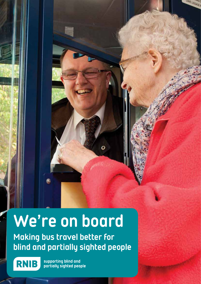# We're on board

Making bus travel better for blind and partially sighted people **LEAVE LIVERAGE** 



supporting blind and<br>partially sighted people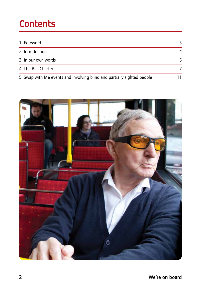# **Contents**

| 1. Foreword<br>2. Introduction<br>3. In our own words | 3<br>4<br>5 |                                                                         |  |
|-------------------------------------------------------|-------------|-------------------------------------------------------------------------|--|
|                                                       |             | 4. The Bus Charter                                                      |  |
|                                                       |             | 5. Swap with Me events and involving blind and partially sighted people |  |

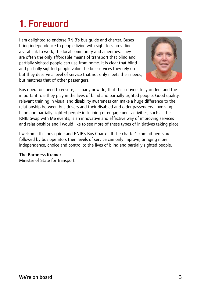# 1. Foreword

I am delighted to endorse RNIB's bus guide and charter. Buses bring independence to people living with sight loss providing a vital link to work, the local community and amenities. They are often the only affordable means of transport that blind and partially sighted people can use from home. It is clear that blind and partially sighted people value the bus services they rely on but they deserve a level of service that not only meets their needs, but matches that of other passengers.



Bus operators need to ensure, as many now do, that their drivers fully understand the important role they play in the lives of blind and partially sighted people. Good quality, relevant training in visual and disability awareness can make a huge difference to the relationship between bus drivers and their disabled and older passengers. Involving blind and partially sighted people in training or engagement activities, such as the RNIB Swap with Me events, is an innovative and effective way of improving services and relationships and I would like to see more of these types of initiatives taking place.

I welcome this bus guide and RNIB's Bus Charter. If the charter's commitments are followed by bus operators then levels of service can only improve, bringing more independence, choice and control to the lives of blind and partially sighted people.

#### The Baroness Kramer

Minister of State for Transport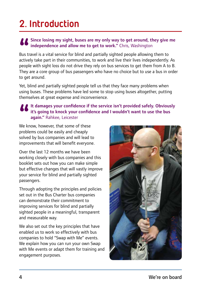# 2. Introduction

#### Since losing my sight, buses are my only way to get around, they give me independence and allow me to get to work." Chris, Washington

Bus travel is a vital service for blind and partially sighted people allowing them to actively take part in their communities, to work and live their lives independently. As people with sight loss do not drive they rely on bus services to get them from A to B. They are a core group of bus passengers who have no choice but to use a bus in order to get around.

Yet, blind and partially sighted people tell us that they face many problems when using buses. These problems have led some to stop using buses altogether, putting themselves at great expense and inconvenience.

#### It damages your confidence if the service isn't provided safely. Obviously it's going to knock your confidence and I wouldn't want to use the bus again." Rahkee, Leicester

We know, however, that some of these problems could be easily and cheaply solved by bus companies and will lead to improvements that will benefit everyone.

Over the last 12 months we have been working closely with bus companies and this booklet sets out how you can make simple but effective changes that will vastly improve your service for blind and partially sighted passengers.

Through adopting the principles and policies set out in the Bus Charter bus companies can demonstrate their commitment to improving services for blind and partially sighted people in a meaningful, transparent and measurable way.

We also set out the key principles that have enabled us to work so effectively with bus companies to hold "Swap with Me" events. We explain how you can run your own Swap with Me events or adapt them for training and engagement purposes.

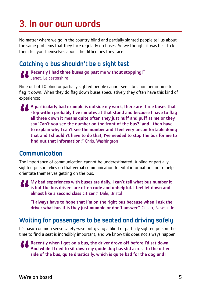# 3. In our own words

No matter where we go in the country blind and partially sighted people tell us about the same problems that they face regularly on buses. So we thought it was best to let them tell you themselves about the difficulties they face.

### Catching a bus shouldn't be a sight test

Recently I had three buses go past me without stopping!" Janet, Leicestershire

Nine out of 10 blind or partially sighted people cannot see a bus number in time to flag it down. When they do flag down buses speculatively they often have this kind of experience:

A A particularly bad example is outside my work, there are three buses that stop within probably five minutes at that stand and because I have to flag all three down it means quite often they just huff and puff at me or they say 'Can't you see the number on the front of the bus?' and I then have to explain why I can't see the number and I feel very uncomfortable doing that and I shouldn't have to do that; I've needed to stop the bus for me to find out that information." Chris, Washington

### Communication

The importance of communication cannot be underestimated. A blind or partially sighted person relies on that verbal communication for vital information and to help orientate themselves getting on the bus.

**A My bad experiences with buses are daily. I can't tell what bus number it** is but the bus drivers are often rude and unhelpful. I feel let down and almost like a second class citizen." Dale, Bristol

"I always have to hope that I'm on the right bus because when I ask the driver what bus it is they just mumble or don't answer." Gillian, Newcastle

# Waiting for passengers to be seated and driving safely

It's basic common sense safety-wise but giving a blind or partially sighted person the time to find a seat is incredibly important, and we know this does not always happen.

**Recently when I got on a bus, the driver drove off before I'd sat down.** And while I tried to sit down my guide dog has slid across to the other side of the bus, quite drastically, which is quite bad for the dog and I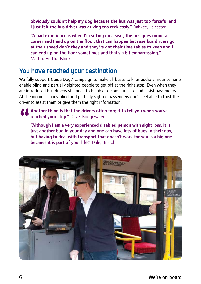obviously couldn't help my dog because the bus was just too forceful and I just felt the bus driver was driving too recklessly." Rahkee, Leicester

"A bad experience is when I'm sitting on a seat, the bus goes round a corner and I end up on the floor, that can happen because bus drivers go at their speed don't they and they've got their time tables to keep and I can end up on the floor sometimes and that's a bit embarrassing." Martin, Hertfordshire

# You have reached your destination

We fully support Guide Dogs' campaign to make all buses talk, as audio announcements enable blind and partially sighted people to get off at the right stop. Even when they are introduced bus drivers still need to be able to communicate and assist passengers. At the moment many blind and partially sighted passengers don't feel able to trust the driver to assist them or give them the right information.

**A** Another thing is that the drivers often forget to tell you when you've reached your stop." Dave, Bridgewater

"Although I am a very experienced disabled person with sight loss, it is just another bug in your day and one can have lots of bugs in their day, but having to deal with transport that doesn't work for you is a big one because it is part of your life." Dale, Bristol

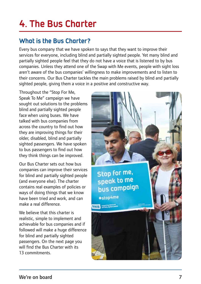# 4. The Bus Charter

### What is the Bus Charter?

Every bus company that we have spoken to says that they want to improve their services for everyone, including blind and partially sighted people. Yet many blind and partially sighted people feel that they do not have a voice that is listened to by bus companies. Unless they attend one of the Swap with Me events, people with sight loss aren't aware of the bus companies' willingness to make improvements and to listen to their concerns. Our Bus Charter tackles the main problems raised by blind and partially sighted people, giving them a voice in a positive and constructive way.

Throughout the "Stop For Me, Speak To Me" campaign we have sought out solutions to the problems blind and partially sighted people face when using buses. We have talked with bus companies from across the country to find out how they are improving things for their older, disabled, blind and partially sighted passengers. We have spoken to bus passengers to find out how they think things can be improved.

Our Bus Charter sets out how bus companies can improve their services for blind and partially sighted people (and everyone else). The charter contains real examples of policies or ways of doing things that we know have been tried and work, and can make a real difference.

We believe that this charter is realistic, simple to implement and achievable for bus companies and if followed will make a huge difference for blind and partially sighted passengers. On the next page you will find the Bus Charter with its 13 commitments.

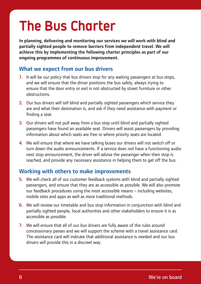# The Bus Charter

In planning, delivering and monitoring our services we will work with blind and partially sighted people to remove barriers from independent travel. We will achieve this by implementing the following charter principles as part of our ongoing programmes of continuous improvement.

#### What we expect from our bus drivers

- 1. It will be our policy that bus drivers stop for any waiting passengers at bus stops, and we will ensure that the driver positions the bus safely, always trying to ensure that the door entry or exit is not obstructed by street furniture or other obstructions.
- 2. Our bus drivers will tell blind and partially sighted passengers which service they are and what their destination is, and ask if they need assistance with payment or finding a seat.
- 3. Our drivers will not pull away from a bus stop until blind and partially sighted passengers have found an available seat. Drivers will assist passengers by providing information about which seats are free or where priority seats are located.
- 4. We will ensure that where we have talking buses our drivers will not switch off or turn down the audio announcements. If a service does not have a functioning audio next stop announcement, the driver will advise the passenger when their stop is reached, and provide any necessary assistance in helping them to get off the bus.

#### Working with others to make improvements

- 5. We will check all of our customer feedback systems with blind and partially sighted passengers, and ensure that they are as accessible as possible. We will also promote our feedback procedures using the most accessible means – including websites, mobile sites and apps as well as more traditional methods.
- 6. We will review our timetable and bus stop information in conjunction with blind and partially sighted people, local authorities and other stakeholders to ensure it is as accessible as possible.
- 7. We will ensure that all of our bus drivers are fully aware of the rules around concessionary passes and we will support the scheme with a travel assistance card. The assistance card will indicate that additional assistance is needed and our bus drivers will provide this in a discreet way.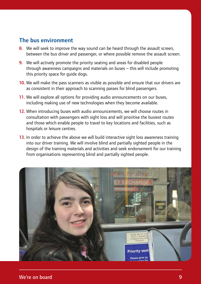#### The bus environment

- 8. We will seek to improve the way sound can be heard through the assault screen, between the bus driver and passenger, or where possible remove the assault screen.
- 9. We will actively promote the priority seating and areas for disabled people through awareness campaigns and materials on buses – this will include promoting this priority space for guide dogs.
- 10. We will make the pass scanners as visible as possible and ensure that our drivers are as consistent in their approach to scanning passes for blind passengers.
- 11. We will explore all options for providing audio announcements on our buses, including making use of new technologies when they become available.
- 12. When introducing buses with audio announcements, we will choose routes in consultation with passengers with sight loss and will prioritise the busiest routes and those which enable people to travel to key locations and facilities, such as hospitals or leisure centres.
- 13. In order to achieve the above we will build interactive sight loss awareness training into our driver training. We will involve blind and partially sighted people in the design of the training materials and activities and seek endorsement for our training from organisations representing blind and partially sighted people.

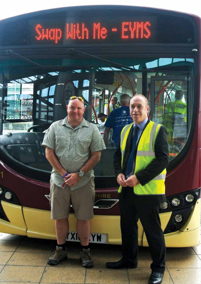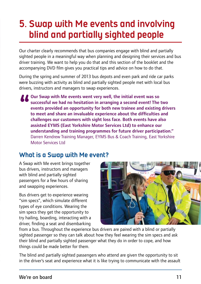# 5. Swap with Me events and involving blind and partially sighted people

Our charter clearly recommends that bus companies engage with blind and partially sighted people in a meaningful way when planning and designing their services and bus driver training. We want to help you do that and this section of the booklet and the accompanying DVD film gives you practical tips and advice on how to do that.

During the spring and summer of 2013 bus depots and even park and ride car parks were buzzing with activity as blind and partially sighted people met with local bus drivers, instructors and managers to swap experiences.

**Our Swap with Me events went very well, the initial event was so** successful we had no hesitation in arranging a second event! The two events provided an opportunity for both new trainee and existing drivers to meet and share an invaluable experience about the difficulties and challenges our customers with sight loss face. Both events have also assisted EYMS (East Yorkshire Motor Services Ltd) to enhance our understanding and training programmes for future driver participation." Darren Kendrew Training Manager, EYMS Bus & Coach Training, East Yorkshire Motor Services Ltd

# What is a Swap with Me event?

A Swap with Me event brings together bus drivers, instructors and managers with blind and partially sighted passengers for a few hours of sharing and swapping experiences.

Bus drivers get to experience wearing "sim specs", which simulate different types of eye conditions. Wearing the sim specs they get the opportunity to try hailing, boarding, interacting with a driver, finding a seat and disembarking



from a bus. Throughout the experience bus drivers are paired with a blind or partially sighted passenger so they can talk about how they feel wearing the sim specs and ask their blind and partially sighted passenger what they do in order to cope, and how things could be made better for them.

The blind and partially sighted passengers who attend are given the opportunity to sit in the driver's seat and experience what it is like trying to communicate with the assault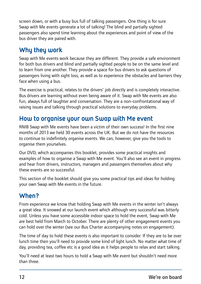screen down, or with a busy bus full of talking passengers. One thing is for sure Swap with Me events generate a lot of talking! The blind and partially sighted passengers also spend time learning about the experiences and point of view of the bus driver they are paired with.

# Why they work

Swap with Me events work because they are different. They provide a safe environment for both bus drivers and blind and partially sighted people to be on the same level and to learn from one another. They provide a space for bus drivers to ask questions of passengers living with sight loss, as well as to experience the obstacles and barriers they face when using a bus.

The exercise is practical, relates to the drivers' job directly and is completely interactive. Bus drivers are learning without even being aware of it. Swap with Me events are also fun, always full of laughter and conversation. They are a non-confrontational way of raising issues and talking through practical solutions to everyday problems.

# How to organise your own Swap with Me event

RNIB Swap with Me events have been a victim of their own success! In the first nine months of 2013 we held 30 events across the UK. But we do not have the resources to continue to indefinitely organise events. We can, however, give you the tools to organise them yourselves.

Our DVD, which accompanies this booklet, provides some practical insights and examples of how to organise a Swap with Me event. You'll also see an event in progress and hear from drivers, instructors, managers and passengers themselves about why these events are so successful.

This section of the booklet should give you some practical tips and ideas for holding your own Swap with Me events in the future.

# When?

From experience we know that holding Swap with Me events in the winter isn't always a great idea. It snowed at our launch event which although very successful was bitterly cold. Unless you have some accessible indoor space to hold the event, Swap with Me are best held from March to October. There are plenty of other engagement events you can hold over the winter (see our Bus Charter accompanying notes on engagement).

The time of day to hold these events is also important to consider. If they are to be over lunch time then you'll need to provide some kind of light lunch. No matter what time of day, providing tea, coffee etc is a good idea as it helps people to relax and start talking.

You'll need at least two hours to hold a Swap with Me event but shouldn't need more than three.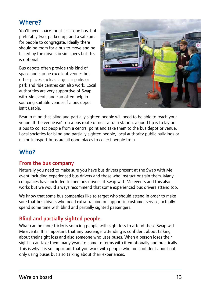### Where?

You'll need space for at least one bus, but preferably two, parked up, and a safe area for people to congregate. Ideally there should be room for a bus to move and be hailed by the drivers in sim specs but this is optional.

Bus depots often provide this kind of space and can be excellent venues but other places such as large car parks or park and ride centres can also work. Local authorities are very supportive of Swap with Me events and can often help in sourcing suitable venues if a bus depot isn't usable.



Bear in mind that blind and partially sighted people will need to be able to reach your venue. If the venue isn't on a bus route or near a train station, a good tip is to lay on a bus to collect people from a central point and take them to the bus depot or venue. Local societies for blind and partially sighted people, local authority public buildings or major transport hubs are all good places to collect people from.

### Who?

#### From the bus company

Naturally you need to make sure you have bus drivers present at the Swap with Me event including experienced bus drivers and those who instruct or train them. Many companies have included trainee bus drivers at Swap with Me events and this also works but we would always recommend that some experienced bus drivers attend too.

We know that some bus companies like to target who should attend in order to make sure that bus drivers who need extra training or support in customer service, actually spend some time with blind and partially sighted passengers.

#### Blind and partially sighted people

What can be more tricky is sourcing people with sight loss to attend these Swap with Me events. It is important that any passenger attending is confident about talking about their sight loss and also someone who uses buses. When a person loses their sight it can take them many years to come to terms with it emotionally and practically. This is why it is so important that you work with people who are confident about not only using buses but also talking about their experiences.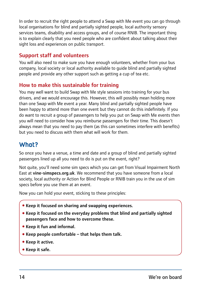In order to recruit the right people to attend a Swap with Me event you can go through local organisations for blind and partially sighted people, local authority sensory services teams, disability and access groups, and of course RNIB. The important thing is to explain clearly that you need people who are confident about talking about their sight loss and experiences on public transport.

#### Support staff and volunteers

You will also need to make sure you have enough volunteers, whether from your bus company, local society or local authority available to guide blind and partially sighted people and provide any other support such as getting a cup of tea etc.

#### How to make this sustainable for training

You may well want to build Swap with Me style sessions into training for your bus drivers, and we would encourage this. However, this will possibly mean holding more than one Swap with Me event a year. Many blind and partially sighted people have been happy to attend more than one event but they cannot do this indefinitely. If you do want to recruit a group of passengers to help you put on Swap with Me events then you will need to consider how you reimburse passengers for their time. This doesn't always mean that you need to pay them (as this can sometimes interfere with benefits) but you need to discuss with them what will work for them.

### What?

So once you have a venue, a time and date and a group of blind and partially sighted passengers lined up all you need to do is put on the event, right?

Not quite, you'll need some sim specs which you can get from Visual Impairment North East at vine-simspecs.org.uk. We recommend that you have someone from a local society, local authority or Action for Blind People or RNIB train you in the use of sim specs before you use them at an event.

Now you can hold your event, sticking to these principles:

- •Keep it focused on sharing and swapping experiences.
- •Keep it focused on the everyday problems that blind and partially sighted passengers face and how to overcome these.
- •Keep it fun and informal.
- •Keep people comfortable that helps them talk.
- Keep it active.
- •Keep it safe.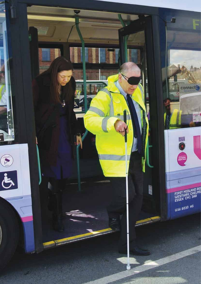